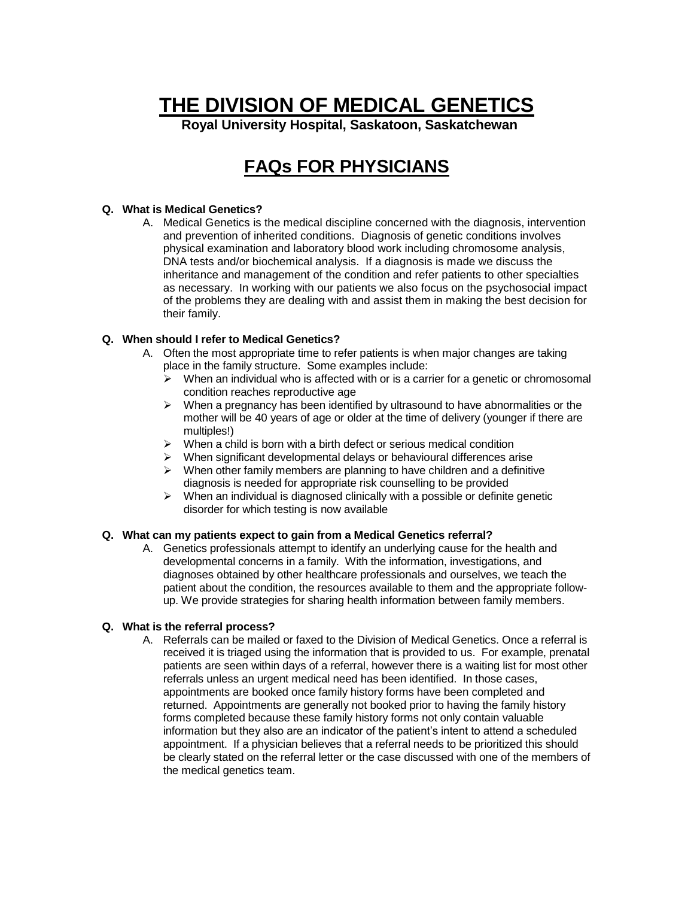# **THE DIVISION OF MEDICAL GENETICS**

**Royal University Hospital, Saskatoon, Saskatchewan**

# **FAQs FOR PHYSICIANS**

# **Q. What is Medical Genetics?**

A. Medical Genetics is the medical discipline concerned with the diagnosis, intervention and prevention of inherited conditions. Diagnosis of genetic conditions involves physical examination and laboratory blood work including chromosome analysis, DNA tests and/or biochemical analysis. If a diagnosis is made we discuss the inheritance and management of the condition and refer patients to other specialties as necessary. In working with our patients we also focus on the psychosocial impact of the problems they are dealing with and assist them in making the best decision for their family.

# **Q. When should I refer to Medical Genetics?**

- A. Often the most appropriate time to refer patients is when major changes are taking place in the family structure. Some examples include:
	- $\triangleright$  When an individual who is affected with or is a carrier for a genetic or chromosomal condition reaches reproductive age
	- $\triangleright$  When a pregnancy has been identified by ultrasound to have abnormalities or the mother will be 40 years of age or older at the time of delivery (younger if there are multiples!)
	- $\triangleright$  When a child is born with a birth defect or serious medical condition
	- $\triangleright$  When significant developmental delays or behavioural differences arise
	- $\triangleright$  When other family members are planning to have children and a definitive diagnosis is needed for appropriate risk counselling to be provided
	- $\triangleright$  When an individual is diagnosed clinically with a possible or definite genetic disorder for which testing is now available

#### **Q. What can my patients expect to gain from a Medical Genetics referral?**

A. Genetics professionals attempt to identify an underlying cause for the health and developmental concerns in a family. With the information, investigations, and diagnoses obtained by other healthcare professionals and ourselves, we teach the patient about the condition, the resources available to them and the appropriate followup. We provide strategies for sharing health information between family members.

#### **Q. What is the referral process?**

A. Referrals can be mailed or faxed to the Division of Medical Genetics. Once a referral is received it is triaged using the information that is provided to us. For example, prenatal patients are seen within days of a referral, however there is a waiting list for most other referrals unless an urgent medical need has been identified. In those cases, appointments are booked once family history forms have been completed and returned. Appointments are generally not booked prior to having the family history forms completed because these family history forms not only contain valuable information but they also are an indicator of the patient's intent to attend a scheduled appointment. If a physician believes that a referral needs to be prioritized this should be clearly stated on the referral letter or the case discussed with one of the members of the medical genetics team.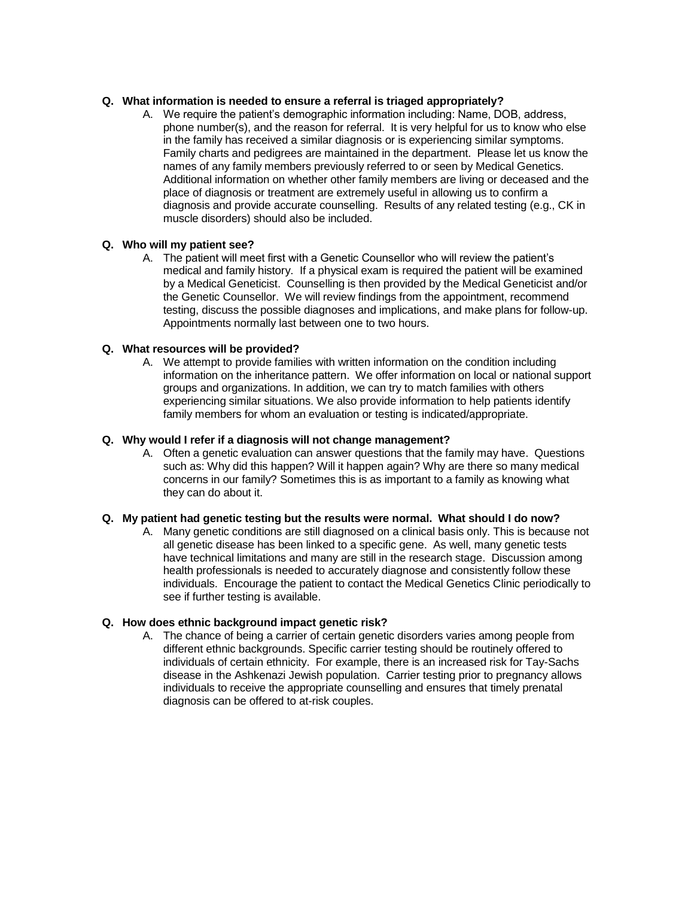# **Q. What information is needed to ensure a referral is triaged appropriately?**

A. We require the patient's demographic information including: Name, DOB, address, phone number(s), and the reason for referral. It is very helpful for us to know who else in the family has received a similar diagnosis or is experiencing similar symptoms. Family charts and pedigrees are maintained in the department. Please let us know the names of any family members previously referred to or seen by Medical Genetics. Additional information on whether other family members are living or deceased and the place of diagnosis or treatment are extremely useful in allowing us to confirm a diagnosis and provide accurate counselling. Results of any related testing (e.g., CK in muscle disorders) should also be included.

# **Q. Who will my patient see?**

A. The patient will meet first with a Genetic Counsellor who will review the patient's medical and family history. If a physical exam is required the patient will be examined by a Medical Geneticist. Counselling is then provided by the Medical Geneticist and/or the Genetic Counsellor. We will review findings from the appointment, recommend testing, discuss the possible diagnoses and implications, and make plans for follow-up. Appointments normally last between one to two hours.

# **Q. What resources will be provided?**

A. We attempt to provide families with written information on the condition including information on the inheritance pattern. We offer information on local or national support groups and organizations. In addition, we can try to match families with others experiencing similar situations. We also provide information to help patients identify family members for whom an evaluation or testing is indicated/appropriate.

# **Q. Why would I refer if a diagnosis will not change management?**

A. Often a genetic evaluation can answer questions that the family may have. Questions such as: Why did this happen? Will it happen again? Why are there so many medical concerns in our family? Sometimes this is as important to a family as knowing what they can do about it.

#### **Q. My patient had genetic testing but the results were normal. What should I do now?**

A. Many genetic conditions are still diagnosed on a clinical basis only. This is because not all genetic disease has been linked to a specific gene. As well, many genetic tests have technical limitations and many are still in the research stage. Discussion among health professionals is needed to accurately diagnose and consistently follow these individuals. Encourage the patient to contact the Medical Genetics Clinic periodically to see if further testing is available.

#### **Q. How does ethnic background impact genetic risk?**

A. The chance of being a carrier of certain genetic disorders varies among people from different ethnic backgrounds. Specific carrier testing should be routinely offered to individuals of certain ethnicity. For example, there is an increased risk for Tay-Sachs disease in the Ashkenazi Jewish population. Carrier testing prior to pregnancy allows individuals to receive the appropriate counselling and ensures that timely prenatal diagnosis can be offered to at-risk couples.